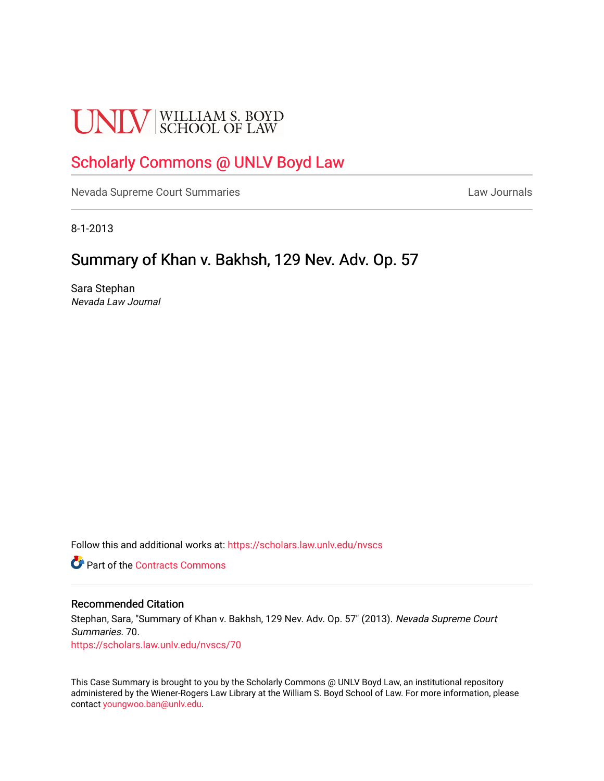# **UNLV** SCHOOL OF LAW

## [Scholarly Commons @ UNLV Boyd Law](https://scholars.law.unlv.edu/)

[Nevada Supreme Court Summaries](https://scholars.law.unlv.edu/nvscs) **Law Journals** Law Journals

8-1-2013

### Summary of Khan v. Bakhsh, 129 Nev. Adv. Op. 57

Sara Stephan Nevada Law Journal

Follow this and additional works at: [https://scholars.law.unlv.edu/nvscs](https://scholars.law.unlv.edu/nvscs?utm_source=scholars.law.unlv.edu%2Fnvscs%2F70&utm_medium=PDF&utm_campaign=PDFCoverPages)

**C** Part of the [Contracts Commons](http://network.bepress.com/hgg/discipline/591?utm_source=scholars.law.unlv.edu%2Fnvscs%2F70&utm_medium=PDF&utm_campaign=PDFCoverPages)

#### Recommended Citation

Stephan, Sara, "Summary of Khan v. Bakhsh, 129 Nev. Adv. Op. 57" (2013). Nevada Supreme Court Summaries. 70. [https://scholars.law.unlv.edu/nvscs/70](https://scholars.law.unlv.edu/nvscs/70?utm_source=scholars.law.unlv.edu%2Fnvscs%2F70&utm_medium=PDF&utm_campaign=PDFCoverPages) 

This Case Summary is brought to you by the Scholarly Commons @ UNLV Boyd Law, an institutional repository administered by the Wiener-Rogers Law Library at the William S. Boyd School of Law. For more information, please contact [youngwoo.ban@unlv.edu](mailto:youngwoo.ban@unlv.edu).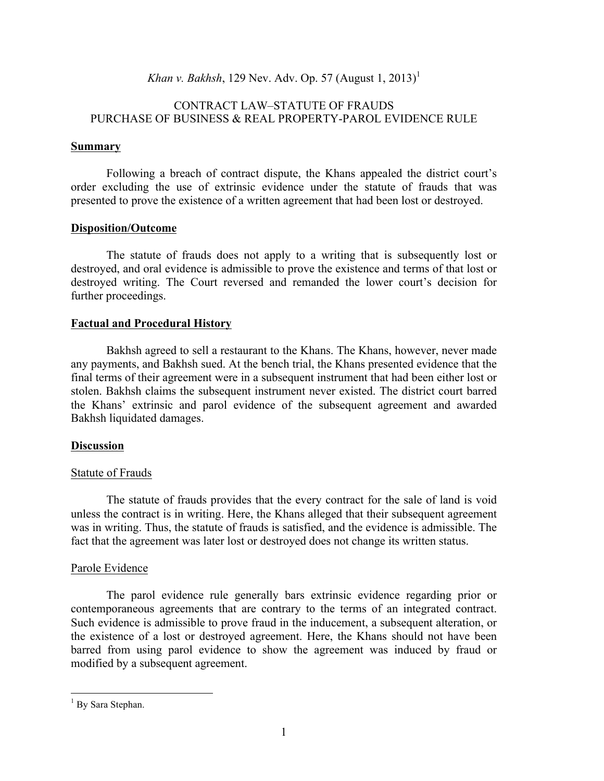*Khan v. Bakhsh*, 129 Nev. Adv. Op. 57 (August 1, 2013)<sup>1</sup>

#### CONTRACT LAW–STATUTE OF FRAUDS PURCHASE OF BUSINESS & REAL PROPERTY-PAROL EVIDENCE RULE

#### **Summary**

Following a breach of contract dispute, the Khans appealed the district court's order excluding the use of extrinsic evidence under the statute of frauds that was presented to prove the existence of a written agreement that had been lost or destroyed.

#### **Disposition/Outcome**

The statute of frauds does not apply to a writing that is subsequently lost or destroyed, and oral evidence is admissible to prove the existence and terms of that lost or destroyed writing. The Court reversed and remanded the lower court's decision for further proceedings.

#### **Factual and Procedural History**

Bakhsh agreed to sell a restaurant to the Khans. The Khans, however, never made any payments, and Bakhsh sued. At the bench trial, the Khans presented evidence that the final terms of their agreement were in a subsequent instrument that had been either lost or stolen. Bakhsh claims the subsequent instrument never existed. The district court barred the Khans' extrinsic and parol evidence of the subsequent agreement and awarded Bakhsh liquidated damages.

#### **Discussion**

#### Statute of Frauds

The statute of frauds provides that the every contract for the sale of land is void unless the contract is in writing. Here, the Khans alleged that their subsequent agreement was in writing. Thus, the statute of frauds is satisfied, and the evidence is admissible. The fact that the agreement was later lost or destroyed does not change its written status.

#### Parole Evidence

The parol evidence rule generally bars extrinsic evidence regarding prior or contemporaneous agreements that are contrary to the terms of an integrated contract. Such evidence is admissible to prove fraud in the inducement, a subsequent alteration, or the existence of a lost or destroyed agreement. Here, the Khans should not have been barred from using parol evidence to show the agreement was induced by fraud or modified by a subsequent agreement.

<sup>&</sup>lt;sup>1</sup> By Sara Stephan.